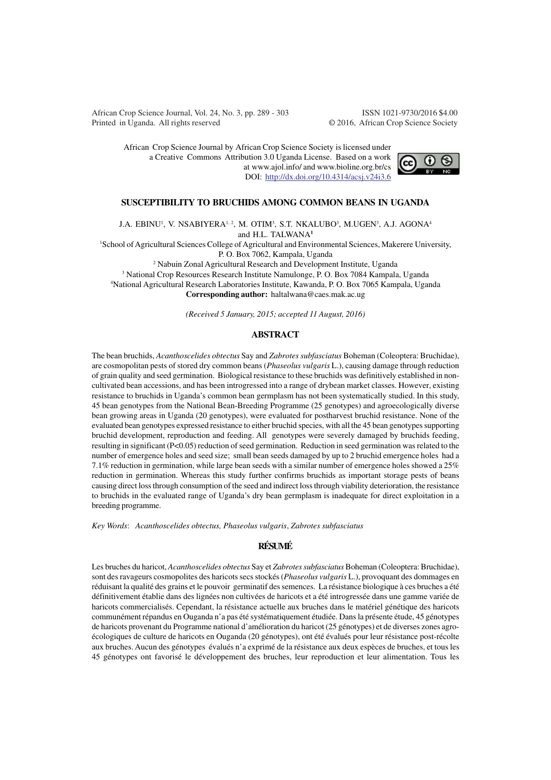African Crop Science Journal, Vol. 24, No. 3, pp. 289 - 303 ISSN 1021-9730/2016 \$4.00 Printed in Uganda. All rights reserved © 2016, African Crop Science Society

African Crop Science Journal by African Crop Science Society is licensed under a Creative Commons Attribution 3.0 Uganda License. Based on a work at www.ajol.info/ and www.bioline.org.br/cs DOI: http://dx.doi.org/10.4314/acsj.v24i3.6



## **SUSCEPTIBILITY TO BRUCHIDS AMONG COMMON BEANS IN UGANDA**

J.A. EBINU<sup>1</sup>, V. NSABIYERA<sup>1, 2</sup>, M. OTIM<sup>3</sup>, S.T. NKALUBO<sup>3</sup>, M.UGEN<sup>3</sup>, A.J. AGONA<sup>4</sup> and H.L. TALWANA**<sup>1</sup>**

<sup>1</sup>School of Agricultural Sciences College of Agricultural and Environmental Sciences, Makerere University, P. O. Box 7062, Kampala, Uganda

 Nabuin Zonal Agricultural Research and Development Institute, Uganda National Crop Resources Research Institute Namulonge, P. O. Box 7084 Kampala, Uganda National Agricultural Research Laboratories Institute, Kawanda, P. O. Box 7065 Kampala, Uganda **Corresponding author:** haltalwana@caes.mak.ac.ug

*(Received 5 January, 2015; accepted 11 August, 2016)*

## **ABSTRACT**

The bean bruchids, *Acanthoscelides obtectus* Say and *Zabrotes subfasciatus* Boheman (Coleoptera: Bruchidae), are cosmopolitan pests of stored dry common beans (*Phaseolus vulgaris* L.), causing damage through reduction of grain quality and seed germination. Biological resistance to these bruchids was definitively established in noncultivated bean accessions, and has been introgressed into a range of drybean market classes. However, existing resistance to bruchids in Uganda's common bean germplasm has not been systematically studied. In this study, 45 bean genotypes from the National Bean-Breeding Programme (25 genotypes) and agroecologically diverse bean growing areas in Uganda (20 genotypes), were evaluated for postharvest bruchid resistance. None of the evaluated bean genotypes expressed resistance to either bruchid species, with all the 45 bean genotypes supporting bruchid development, reproduction and feeding. All genotypes were severely damaged by bruchids feeding, resulting in significant (P<0.05) reduction of seed germination. Reduction in seed germination was related to the number of emergence holes and seed size; small bean seeds damaged by up to 2 bruchid emergence holes had a 7.1% reduction in germination, while large bean seeds with a similar number of emergence holes showed a 25% reduction in germination. Whereas this study further confirms bruchids as important storage pests of beans causing direct loss through consumption of the seed and indirect loss through viability deterioration, the resistance to bruchids in the evaluated range of Uganda's dry bean germplasm is inadequate for direct exploitation in a breeding programme.

*Key Words*: *Acanthoscelides obtectus, Phaseolus vulgaris*, *Zabrotes subfasciatus*

## **RÉSUMÉ**

Les bruches du haricot, *Acanthoscelides obtectus* Say et *Zabrotes subfasciatus* Boheman (Coleoptera: Bruchidae), sont des ravageurs cosmopolites des haricots secs stockés (*Phaseolus vulgaris* L.), provoquant des dommages en réduisant la qualité des grains et le pouvoir germinatif des semences. La résistance biologique à ces bruches a été définitivement établie dans des lignées non cultivées de haricots et a été introgressée dans une gamme variée de haricots commercialisés. Cependant, la résistance actuelle aux bruches dans le matériel génétique des haricots communément répandus en Ouganda n'a pas été systématiquement étudiée. Dans la présente étude, 45 génotypes de haricots provenant du Programme national d'amélioration du haricot (25 génotypes) et de diverses zones agroécologiques de culture de haricots en Ouganda (20 génotypes), ont été évalués pour leur résistance post-récolte aux bruches. Aucun des génotypes évalués n'a exprimé de la résistance aux deux espèces de bruches, et tous les 45 génotypes ont favorisé le développement des bruches, leur reproduction et leur alimentation. Tous les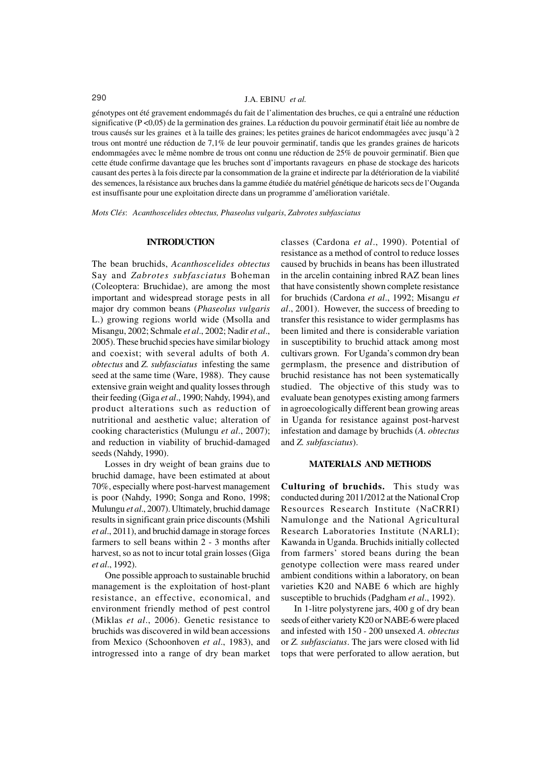## 290 J.A. EBINU *et al.*

génotypes ont été gravement endommagés du fait de l'alimentation des bruches, ce qui a entraîné une réduction significative (P <0,05) de la germination des graines. La réduction du pouvoir germinatif était liée au nombre de trous causés sur les graines et à la taille des graines; les petites graines de haricot endommagées avec jusqu'à 2 trous ont montré une réduction de 7,1% de leur pouvoir germinatif, tandis que les grandes graines de haricots endommagées avec le même nombre de trous ont connu une réduction de 25% de pouvoir germinatif. Bien que cette étude confirme davantage que les bruches sont d'importants ravageurs en phase de stockage des haricots causant des pertes à la fois directe par la consommation de la graine et indirecte par la détérioration de la viabilité des semences, la résistance aux bruches dans la gamme étudiée du matériel génétique de haricots secs de l'Ouganda est insuffisante pour une exploitation directe dans un programme d'amélioration variétale.

*Mots Clés*: *Acanthoscelides obtectus, Phaseolus vulgaris*, *Zabrotes subfasciatus*

## **INTRODUCTION**

The bean bruchids, *Acanthoscelides obtectus* Say and *Zabrotes subfasciatus* Boheman (Coleoptera: Bruchidae), are among the most important and widespread storage pests in all major dry common beans (*Phaseolus vulgaris* L.) growing regions world wide (Msolla and Misangu, 2002; Schmale *et al*., 2002; Nadir *et al*., 2005). These bruchid species have similar biology and coexist; with several adults of both *A. obtectus* and *Z. subfasciatus* infesting the same seed at the same time (Ware, 1988). They cause extensive grain weight and quality losses through their feeding (Giga *et al*., 1990; Nahdy, 1994), and product alterations such as reduction of nutritional and aesthetic value; alteration of cooking characteristics (Mulungu *et al*., 2007); and reduction in viability of bruchid-damaged seeds (Nahdy, 1990).

Losses in dry weight of bean grains due to bruchid damage, have been estimated at about 70%, especially where post-harvest management is poor (Nahdy, 1990; Songa and Rono, 1998; Mulungu *et al*., 2007). Ultimately, bruchid damage results in significant grain price discounts (Mshili *et al*., 2011), and bruchid damage in storage forces farmers to sell beans within 2 - 3 months after harvest, so as not to incur total grain losses (Giga *et al*., 1992).

One possible approach to sustainable bruchid management is the exploitation of host-plant resistance, an effective, economical, and environment friendly method of pest control (Miklas *et al*., 2006). Genetic resistance to bruchids was discovered in wild bean accessions from Mexico (Schoonhoven *et al*., 1983), and introgressed into a range of dry bean market classes (Cardona *et al*., 1990). Potential of resistance as a method of control to reduce losses caused by bruchids in beans has been illustrated in the arcelin containing inbred RAZ bean lines that have consistently shown complete resistance for bruchids (Cardona *et al*., 1992; Misangu *et al*., 2001). However, the success of breeding to transfer this resistance to wider germplasms has been limited and there is considerable variation in susceptibility to bruchid attack among most cultivars grown. For Uganda's common dry bean germplasm, the presence and distribution of bruchid resistance has not been systematically studied. The objective of this study was to evaluate bean genotypes existing among farmers in agroecologically different bean growing areas in Uganda for resistance against post-harvest infestation and damage by bruchids (*A. obtectus* and *Z. subfasciatus*).

### **MATERIALS AND METHODS**

**Culturing of bruchids.** This study was conducted during 2011/2012 at the National Crop Resources Research Institute (NaCRRI) Namulonge and the National Agricultural Research Laboratories Institute (NARLI); Kawanda in Uganda. Bruchids initially collected from farmers' stored beans during the bean genotype collection were mass reared under ambient conditions within a laboratory, on bean varieties K20 and NABE 6 which are highly susceptible to bruchids (Padgham *et al*., 1992).

In 1-litre polystyrene jars, 400 g of dry bean seeds of either variety K20 or NABE-6 were placed and infested with 150 - 200 unsexed *A. obtectus* or *Z. subfasciatus*. The jars were closed with lid tops that were perforated to allow aeration, but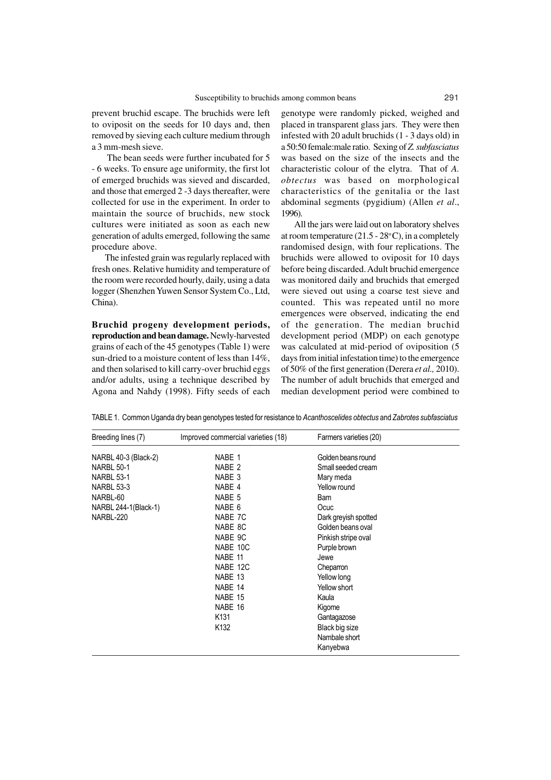prevent bruchid escape. The bruchids were left to oviposit on the seeds for 10 days and, then removed by sieving each culture medium through a 3 mm-mesh sieve.

 The bean seeds were further incubated for 5 - 6 weeks. To ensure age uniformity, the first lot of emerged bruchids was sieved and discarded, and those that emerged 2 -3 days thereafter, were collected for use in the experiment. In order to maintain the source of bruchids, new stock cultures were initiated as soon as each new generation of adults emerged, following the same procedure above.

The infested grain was regularly replaced with fresh ones. Relative humidity and temperature of the room were recorded hourly, daily, using a data logger (Shenzhen Yuwen Sensor System Co., Ltd, China).

**Bruchid progeny development periods, reproduction and bean damage.** Newly-harvested grains of each of the 45 genotypes (Table 1) were sun-dried to a moisture content of less than 14%, and then solarised to kill carry-over bruchid eggs and/or adults, using a technique described by Agona and Nahdy (1998). Fifty seeds of each

genotype were randomly picked, weighed and placed in transparent glass jars. They were then infested with 20 adult bruchids (1 - 3 days old) in a 50:50 female:male ratio. Sexing of *Z. subfasciatus* was based on the size of the insects and the characteristic colour of the elytra. That of *A. obtectus* was based on morphological characteristics of the genitalia or the last abdominal segments (pygidium) (Allen *et al*., 1996).

All the jars were laid out on laboratory shelves at room temperature  $(21.5 - 28$ °C), in a completely randomised design, with four replications. The bruchids were allowed to oviposit for 10 days before being discarded. Adult bruchid emergence was monitored daily and bruchids that emerged were sieved out using a coarse test sieve and counted. This was repeated until no more emergences were observed, indicating the end of the generation. The median bruchid development period (MDP) on each genotype was calculated at mid-period of oviposition (5 days from initial infestation time) to the emergence of 50% of the first generation (Derera *et al.,* 2010). The number of adult bruchids that emerged and median development period were combined to

TABLE 1. Common Uganda dry bean genotypes tested for resistance to *Acanthoscelides obtectus* and *Zabrotes subfasciatus*

| Breeding lines (7)   | Improved commercial varieties (18) | Farmers varieties (20) |  |
|----------------------|------------------------------------|------------------------|--|
| NARBL 40-3 (Black-2) | NABE 1                             | Golden beans round     |  |
| <b>NARBL 50-1</b>    | NABE <sub>2</sub>                  | Small seeded cream     |  |
| <b>NARBL 53-1</b>    | NABE <sub>3</sub>                  | Mary meda              |  |
| <b>NARBL 53-3</b>    | NABE 4                             | Yellow round           |  |
| NARBL-60             | NABE <sub>5</sub>                  | <b>Bam</b>             |  |
| NARBL 244-1(Black-1) | NABE <sub>6</sub>                  | Ocuc                   |  |
| NARBL-220            | NABE 7C                            | Dark greyish spotted   |  |
|                      | NABE 8C                            | Golden beans oval      |  |
|                      | NABE 9C                            | Pinkish stripe oval    |  |
|                      | NABE 10C                           | Purple brown           |  |
|                      | NABE 11                            | Jewe                   |  |
|                      | NABE 12C                           | Cheparron              |  |
|                      | NABE 13                            | Yellow long            |  |
|                      | NABE 14                            | Yellow short           |  |
|                      | NABE 15                            | Kaula                  |  |
|                      | NABE 16                            | Kigome                 |  |
|                      | K <sub>131</sub>                   | Gantagazose            |  |
|                      | K <sub>132</sub>                   | Black big size         |  |
|                      |                                    | Nambale short          |  |
|                      |                                    | Kanyebwa               |  |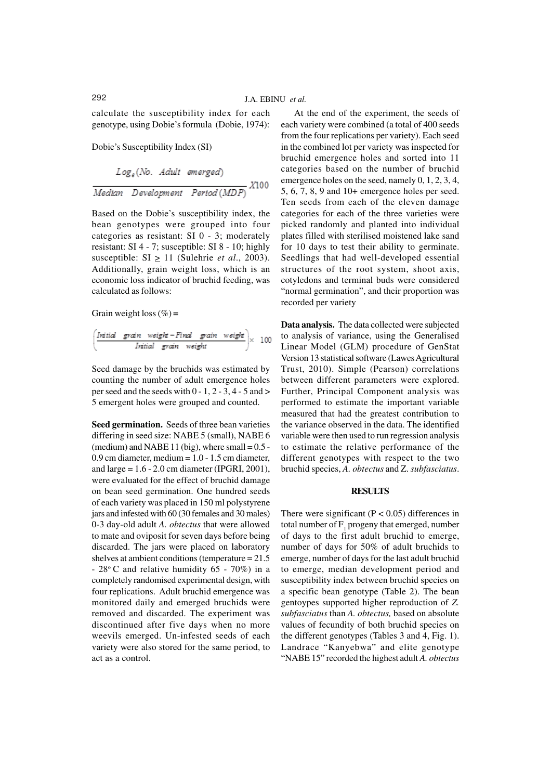calculate the susceptibility index for each genotype, using Dobie's formula (Dobie, 1974):

Dobie's Susceptibility Index (SI)

$$
Log_{e}(No. \text{ Adult emerged})
$$
\n
$$
\frac{Median \text{ Development} \text{Period}(MDP)}{Mean}
$$

Based on the Dobie's susceptibility index, the bean genotypes were grouped into four categories as resistant: SI 0 - 3; moderately resistant: SI 4 - 7; susceptible: SI 8 - 10; highly susceptible:  $SI \ge 11$  (Sulehrie *et al.*, 2003). Additionally, grain weight loss, which is an economic loss indicator of bruchid feeding, was calculated as follows:

Grain weight loss (%) **=**

$$
\left(\begin{array}{ccc}\n\text{Initial} & \text{grain} & \text{weight} - \text{Final} & \text{grain} & \text{weight} \\
\hline\n\text{Initial} & \text{grain} & \text{weight}\n\end{array}\right) \times 100
$$

Seed damage by the bruchids was estimated by counting the number of adult emergence holes per seed and the seeds with  $0 - 1$ ,  $2 - 3$ ,  $4 - 5$  and  $>$ 5 emergent holes were grouped and counted.

**Seed germination.** Seeds of three bean varieties differing in seed size: NABE 5 (small), NABE 6 (medium) and NABE 11 (big), where small  $= 0.5$  -0.9 cm diameter, medium = 1.0 - 1.5 cm diameter, and large  $= 1.6 - 2.0$  cm diameter (IPGRI, 2001), were evaluated for the effect of bruchid damage on bean seed germination. One hundred seeds of each variety was placed in 150 ml polystyrene jars and infested with 60 (30 females and 30 males) 0-3 day-old adult *A. obtectus* that were allowed to mate and oviposit for seven days before being discarded. The jars were placed on laboratory shelves at ambient conditions (temperature = 21.5 -  $28^{\circ}$ C and relative humidity 65 - 70%) in a completely randomised experimental design, with four replications. Adult bruchid emergence was monitored daily and emerged bruchids were removed and discarded. The experiment was discontinued after five days when no more weevils emerged. Un-infested seeds of each variety were also stored for the same period, to act as a control.

At the end of the experiment, the seeds of each variety were combined (a total of 400 seeds from the four replications per variety). Each seed in the combined lot per variety was inspected for bruchid emergence holes and sorted into 11 categories based on the number of bruchid emergence holes on the seed, namely 0, 1, 2, 3, 4, 5, 6, 7, 8, 9 and 10+ emergence holes per seed. Ten seeds from each of the eleven damage categories for each of the three varieties were picked randomly and planted into individual plates filled with sterilised moistened lake sand for 10 days to test their ability to germinate. Seedlings that had well-developed essential structures of the root system, shoot axis, cotyledons and terminal buds were considered "normal germination", and their proportion was recorded per variety

**Data analysis.** The data collected were subjected to analysis of variance, using the Generalised Linear Model (GLM) procedure of GenStat Version 13 statistical software (Lawes Agricultural Trust, 2010). Simple (Pearson) correlations between different parameters were explored. Further, Principal Component analysis was performed to estimate the important variable measured that had the greatest contribution to the variance observed in the data. The identified variable were then used to run regression analysis to estimate the relative performance of the different genotypes with respect to the two bruchid species, *A. obtectus* and Z. *subfasciatus*.

## **RESULTS**

There were significant  $(P < 0.05)$  differences in total number of  $F_1$  progeny that emerged, number of days to the first adult bruchid to emerge, number of days for 50% of adult bruchids to emerge, number of days for the last adult bruchid to emerge, median development period and susceptibility index between bruchid species on a specific bean genotype (Table 2). The bean gentoypes supported higher reproduction of *Z. subfasciatus* than *A. obtectus,* based on absolute values of fecundity of both bruchid species on the different genotypes (Tables 3 and 4, Fig. 1). Landrace "Kanyebwa" and elite genotype "NABE 15" recorded the highest adult *A. obtectus*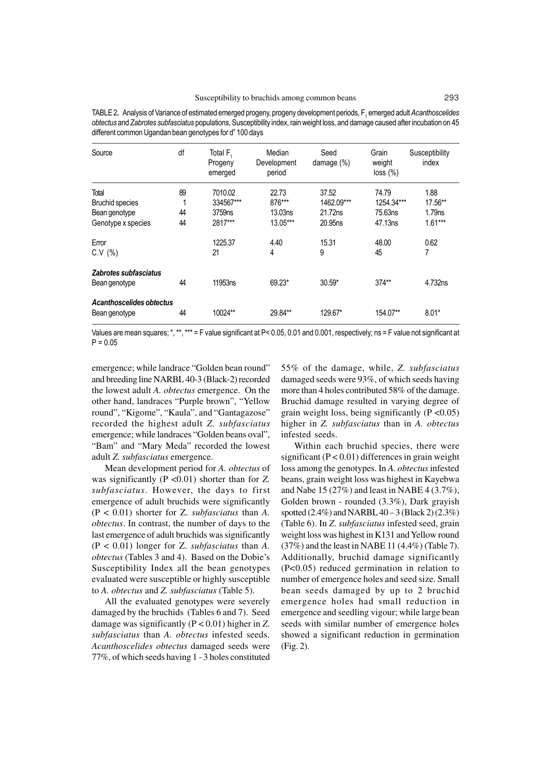| Source                                    | df      | Total F.<br>Progeny<br>emerged | Median<br>Development<br>period | Seed<br>damage (%) | Grain<br>weight<br>loss (%) | Susceptibility<br>index |
|-------------------------------------------|---------|--------------------------------|---------------------------------|--------------------|-----------------------------|-------------------------|
| Total                                     | 89<br>4 | 7010.02                        | 22.73                           | 37.52              | 74.79                       | 1.88                    |
| <b>Bruchid species</b>                    |         | 334567***                      | 876***                          | 1462.09***         | 1254.34***                  | 17.56**                 |
| Bean genotype                             | 44      | 3759 <sub>ns</sub>             | 13.03ns                         | 21.72ns            | 75.63ns                     | 1.79 <sub>ns</sub>      |
| Genotype x species                        | 44      | 2817***                        | 13.05***                        | 20.95ns            | 47.13ns                     | $1.61***$               |
| Error                                     |         | 1225.37                        | 4.40                            | 15.31              | 48.00                       | 0.62                    |
| C.V (%)                                   |         | 21                             | 4                               | 9                  | 45                          | 7                       |
| Zabrotes subfasciatus<br>Bean genotype    | 44      | 11953ns                        | 69.23*                          | $30.59*$           | $374**$                     | 4.732ns                 |
| Acanthoscelides obtectus<br>Bean genotype | 44      | 10024**                        | 29.84**                         | 129.67*            | 154.07**                    | $8.01*$                 |

TABLE 2. Analysis of Variance of estimated emerged progeny, progeny development periods, F<sub>1</sub> emerged adult *Acanthoscelides obtectus* and *Zabrotes subfasciatus* populations, Susceptibility index, rain weight loss, and damage caused after incubation on 45 different common Ugandan bean genotypes for d" 100 days

Values are mean squares; \*, \*\*, \*\*\* = F value significant at  $P < 0.05$ , 0.01 and 0.001, respectively; ns = F value not significant at  $P = 0.05$ 

emergence; while landrace "Golden bean round" and breeding line NARBL 40-3 (Black-2) recorded the lowest adult *A. obtectus* emergence. On the other hand, landraces "Purple brown", "Yellow round", "Kigome", "Kaula", and "Gantagazose" recorded the highest adult *Z. subfasciatus* emergence; while landraces "Golden beans oval", "Bam" and "Mary Meda" recorded the lowest adult *Z. subfasciatus* emergence.

Mean development period for *A. obtectus* of was significantly (P <0.01) shorter than for *Z. subfasciatus*. However, the days to first emergence of adult bruchids were significantly (P < 0.01) shorter for Z. *subfasciatus* than *A. obtectus*. In contrast, the number of days to the last emergence of adult bruchids was significantly (P < 0.01) longer for Z. *subfasciatus* than *A. obtectus* (Tables 3 and 4). Based on the Dobie's Susceptibility Index all the bean genotypes evaluated were susceptible or highly susceptible to *A. obtectus* and *Z. subfasciatus* (Table 5).

All the evaluated genotypes were severely damaged by the bruchids (Tables 6 and 7). Seed damage was significantly (P < 0.01) higher in *Z*. *subfasciatus* than *A. obtectus* infested seeds. *Acanthoscelides obtectus* damaged seeds were 77%, of which seeds having 1 - 3 holes constituted

55% of the damage, while, *Z*. *subfasciatus* damaged seeds were 93%, of which seeds having more than 4 holes contributed 58% of the damage. Bruchid damage resulted in varying degree of grain weight loss, being significantly  $(P \le 0.05)$ higher in *Z. subfasciatus* than in *A. obtectus* infested seeds.

Within each bruchid species, there were significant  $(P < 0.01)$  differences in grain weight loss among the genotypes. In *A. obtectus* infested beans, grain weight loss was highest in Kayebwa and Nabe 15 (27%) and least in NABE 4 (3.7%), Golden brown - rounded (3.3%), Dark grayish spotted  $(2.4\%)$  and NARBL  $40-3$  (Black 2)  $(2.3\%)$ (Table 6). In *Z*. *subfasciatus* infested seed, grain weight loss was highest in K131 and Yellow round (37%) and the least in NABE 11 (4.4%) (Table 7). Additionally, bruchid damage significantly (P<0.05) reduced germination in relation to number of emergence holes and seed size. Small bean seeds damaged by up to 2 bruchid emergence holes had small reduction in emergence and seedling vigour; while large bean seeds with similar number of emergence holes showed a significant reduction in germination (Fig. 2).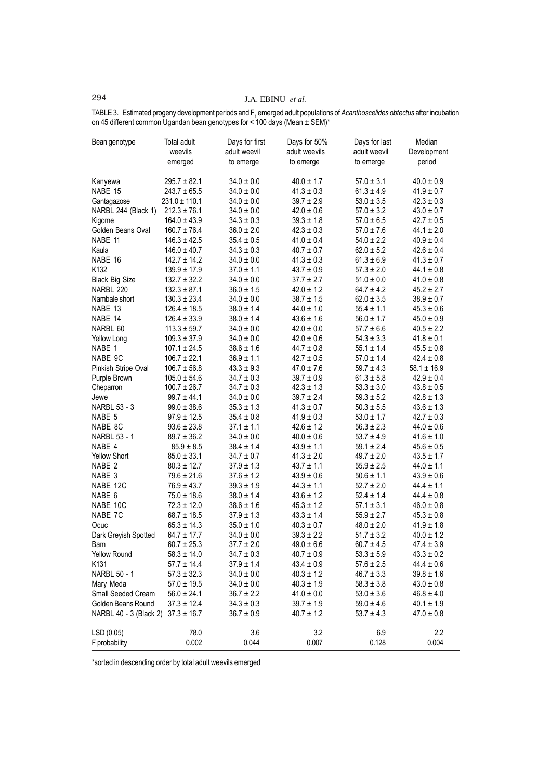# 294 J.A. EBINU *et al.*

TABLE 3. Estimated progeny development periods and F<sub>1</sub> emerged adult populations of *Acanthoscelides obtectus* after incubation on 45 different common Ugandan bean genotypes for < 100 days (Mean ± SEM)\*

| Bean genotype          | Total adult<br>weevils<br>emerged | Days for first<br>adult weevil<br>to emerge | Days for 50%<br>adult weevils<br>to emerge | Days for last<br>adult weevil<br>to emerge | Median<br>Development<br>period |
|------------------------|-----------------------------------|---------------------------------------------|--------------------------------------------|--------------------------------------------|---------------------------------|
| Kanyewa                | $295.7 \pm 82.1$                  | $34.0 \pm 0.0$                              | $40.0 \pm 1.7$                             | $57.0 \pm 3.1$                             | $40.0 \pm 0.9$                  |
| NABE 15                | $243.7 \pm 65.5$                  | $34.0 \pm 0.0$                              | $41.3 \pm 0.3$                             | $61.3 \pm 4.9$                             | $41.9 \pm 0.7$                  |
| Gantagazose            | $231.0 \pm 110.1$                 | $34.0 \pm 0.0$                              | $39.7 \pm 2.9$                             | $53.0 \pm 3.5$                             | $42.3 \pm 0.3$                  |
| NARBL 244 (Black 1)    | $212.3 \pm 76.1$                  | $34.0 \pm 0.0$                              | $42.0 \pm 0.6$                             | $57.0 \pm 3.2$                             | $43.0 \pm 0.7$                  |
| Kigome                 | $164.0 \pm 43.9$                  | $34.3 \pm 0.3$                              | $39.3 \pm 1.8$                             | $57.0 \pm 6.5$                             | $42.7 \pm 0.5$                  |
| Golden Beans Oval      | $160.7 \pm 76.4$                  | $36.0 \pm 2.0$                              | $42.3 \pm 0.3$                             | $57.0 \pm 7.6$                             | $44.1 \pm 2.0$                  |
| NABE 11                | $146.3 \pm 42.5$                  | $35.4 \pm 0.5$                              | $41.0 \pm 0.4$                             | $54.0 \pm 2.2$                             | $40.9 \pm 0.4$                  |
| Kaula                  | $146.0 \pm 40.7$                  | $34.3 \pm 0.3$                              | $40.7 \pm 0.7$                             | $62.0 \pm 5.2$                             | $42.6 \pm 0.4$                  |
| NABE 16                | $142.7 \pm 14.2$                  | $34.0 \pm 0.0$                              | $41.3 \pm 0.3$                             | $61.3 \pm 6.9$                             | $41.3 \pm 0.7$                  |
| K132                   | $139.9 \pm 17.9$                  | $37.0 \pm 1.1$                              | $43.7 \pm 0.9$                             | $57.3 \pm 2.0$                             | $44.1 \pm 0.8$                  |
| <b>Black Big Size</b>  | $132.7 \pm 32.2$                  | $34.0 \pm 0.0$                              | $37.7 \pm 2.7$                             | $51.0 \pm 0.0$                             | $41.0 \pm 0.8$                  |
| NARBL 220              | $132.3 \pm 87.1$                  | $36.0 \pm 1.5$                              | $42.0 \pm 1.2$                             | $64.7 \pm 4.2$                             | $45.2 \pm 2.7$                  |
| Nambale short          | $130.3 \pm 23.4$                  | $34.0 \pm 0.0$                              | $38.7 \pm 1.5$                             | $62.0 \pm 3.5$                             | $38.9 \pm 0.7$                  |
| NABE 13                | $126.4 \pm 18.5$                  | $38.0 \pm 1.4$                              | $44.0 \pm 1.0$                             | $55.4 \pm 1.1$                             | $45.3 \pm 0.6$                  |
| NABE 14                | $126.4 \pm 33.9$                  | $38.0 \pm 1.4$                              | $43.6 \pm 1.6$                             | $56.0 \pm 1.7$                             | $45.0 \pm 0.9$                  |
| NARBL 60               | $113.3 \pm 59.7$                  | $34.0 \pm 0.0$                              | $42.0 \pm 0.0$                             | $57.7 \pm 6.6$                             | $40.5 \pm 2.2$                  |
| Yellow Long            | $109.3 \pm 37.9$                  | $34.0 \pm 0.0$                              | $42.0 \pm 0.6$                             | $54.3 \pm 3.3$                             | $41.8 \pm 0.1$                  |
| NABE 1                 | $107.1 \pm 24.5$                  | $38.6 \pm 1.6$                              | $44.7 \pm 0.8$                             | $55.1 \pm 1.4$                             | $45.5 \pm 0.8$                  |
| NABE 9C                | $106.7 \pm 22.1$                  | $36.9 \pm 1.1$                              | $42.7 \pm 0.5$                             | $57.0 \pm 1.4$                             | $42.4 \pm 0.8$                  |
| Pinkish Stripe Oval    | $106.7 \pm 56.8$                  | $43.3 \pm 9.3$                              | $47.0 \pm 7.6$                             | $59.7 \pm 4.3$                             | $58.1 \pm 16.9$                 |
| Purple Brown           | $105.0 \pm 54.6$                  | $34.7 \pm 0.3$                              | $39.7 \pm 0.9$                             | $61.3 \pm 5.8$                             | $42.9 \pm 0.4$                  |
| Cheparron              | $100.7 \pm 26.7$                  | $34.7 \pm 0.3$                              | $42.3 \pm 1.3$                             | $53.3 \pm 3.0$                             | $43.8 \pm 0.5$                  |
| Jewe                   | $99.7 \pm 44.1$                   | $34.0 \pm 0.0$                              | $39.7 \pm 2.4$                             | $59.3 \pm 5.2$                             | $42.8 \pm 1.3$                  |
| <b>NARBL 53 - 3</b>    | $99.0 \pm 38.6$                   | $35.3 \pm 1.3$                              | $41.3 \pm 0.7$                             | $50.3 \pm 5.5$                             | $43.6 \pm 1.3$                  |
| NABE 5                 | $97.9 \pm 12.5$                   | $35.4 \pm 0.8$                              | $41.9 \pm 0.3$                             | $53.0 \pm 1.7$                             | $42.7 \pm 0.3$                  |
| NABE 8C                | $93.6 \pm 23.8$                   | $37.1 \pm 1.1$                              | $42.6 \pm 1.2$                             | $56.3 \pm 2.3$                             | $44.0 \pm 0.6$                  |
| <b>NARBL 53 - 1</b>    | $89.7 \pm 36.2$                   | $34.0 \pm 0.0$                              | $40.0 \pm 0.6$                             | $53.7 \pm 4.9$                             | $41.6 \pm 1.0$                  |
| NABE 4                 | $85.9 \pm 8.5$                    | $38.4 \pm 1.4$                              | $43.9 \pm 1.1$                             | $59.1 \pm 2.4$                             | $45.6 \pm 0.5$                  |
| <b>Yellow Short</b>    | $85.0 \pm 33.1$                   | $34.7 \pm 0.7$                              | $41.3 \pm 2.0$                             | $49.7 \pm 2.0$                             | $43.5 \pm 1.7$                  |
| NABE 2                 | $80.3 \pm 12.7$                   | $37.9 \pm 1.3$                              | $43.7 \pm 1.1$                             | $55.9 \pm 2.5$                             | $44.0 \pm 1.1$                  |
| NABE <sub>3</sub>      | $79.6 \pm 21.6$                   | $37.6 \pm 1.2$                              | $43.9 \pm 0.6$                             | $50.6 \pm 1.1$                             | $43.9 \pm 0.6$                  |
| NABE 12C               | $76.9 \pm 43.7$                   | $39.3 \pm 1.9$                              | $44.3 \pm 1.1$                             | $52.7 \pm 2.0$                             | $44.4 \pm 1.1$                  |
| NABE 6                 | $75.0 \pm 18.6$                   | $38.0 \pm 1.4$                              | $43.6 \pm 1.2$                             | $52.4 \pm 1.4$                             | $44.4 \pm 0.8$                  |
| NABE 10C               | $72.3 \pm 12.0$                   | $38.6 \pm 1.6$                              | $45.3 \pm 1.2$                             | $57.1 \pm 3.1$                             | $46.0 \pm 0.8$                  |
| NABE 7C                | $68.7 \pm 18.5$                   | $37.9 \pm 1.3$                              | $43.3 \pm 1.4$                             | $55.9 \pm 2.7$                             | $45.3 \pm 0.8$                  |
| Ocuc                   | $65.3 \pm 14.3$                   | $35.0 \pm 1.0$                              | $40.3 \pm 0.7$                             | $48.0 \pm 2.0$                             | $41.9 \pm 1.8$                  |
| Dark Greyish Spotted   | $64.7 \pm 17.7$                   | $34.0 \pm 0.0$                              | $39.3 \pm 2.2$                             | $51.7 \pm 3.2$                             | $40.0 \pm 1.2$                  |
| Bam                    | $60.7 \pm 25.3$                   | $37.7 \pm 2.0$                              | $49.0 \pm 6.6$                             | $60.7 \pm 4.5$                             | $47.4 \pm 3.9$                  |
| Yellow Round           | $58.3 \pm 14.0$                   | $34.7 \pm 0.3$                              | $40.7 \pm 0.9$                             | $53.3 \pm 5.9$                             | $43.3 \pm 0.2$                  |
| K131                   | $57.7 \pm 14.4$                   | $37.9 \pm 1.4$                              | $43.4\pm0.9$                               | $57.6 \pm 2.5$                             | $44.4 \pm 0.6$                  |
| NARBL 50 - 1           | $57.3 \pm 32.3$                   | $34.0 \pm 0.0$                              | $40.3 \pm 1.2$                             | $46.7 \pm 3.3$                             | $39.8 \pm 1.6$                  |
| Mary Meda              | $57.0 \pm 19.5$                   | $34.0 \pm 0.0$                              | $40.3 \pm 1.9$                             | $58.3 \pm 3.8$                             | $43.0 \pm 0.8$                  |
| Small Seeded Cream     | $56.0 \pm 24.1$                   | $36.7 \pm 2.2$                              | $41.0 \pm 0.0$                             | $53.0 \pm 3.6$                             | $46.8 \pm 4.0$                  |
| Golden Beans Round     | $37.3 \pm 12.4$                   | $34.3 \pm 0.3$                              | $39.7 \pm 1.9$                             | $59.0 \pm 4.6$                             | $40.1 \pm 1.9$                  |
| NARBL 40 - 3 (Black 2) | $37.3 \pm 16.7$                   | $36.7 \pm 0.9$                              | $40.7 \pm 1.2$                             | $53.7 \pm 4.3$                             | $47.0 \pm 0.8$                  |
| LSD (0.05)             | 78.0                              | 3.6                                         | 3.2                                        | 6.9                                        | 2.2                             |
| F probability          | 0.002                             | 0.044                                       | 0.007                                      | 0.128                                      | 0.004                           |

\*sorted in descending order by total adult weevils emerged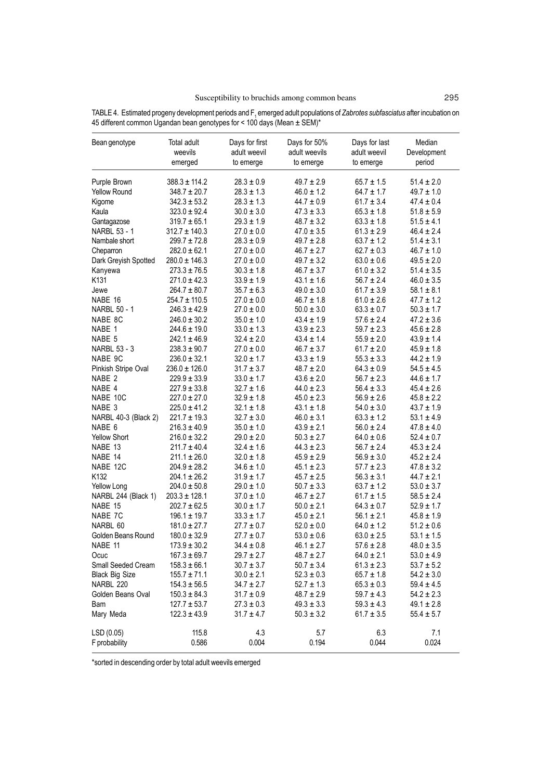| Bean genotype         | Total adult<br>weevils<br>emerged | Days for first<br>adult weevil<br>to emerge | Days for 50%<br>adult weevils<br>to emerge | Days for last<br>adult weevil<br>to emerge | Median<br>Development<br>period |
|-----------------------|-----------------------------------|---------------------------------------------|--------------------------------------------|--------------------------------------------|---------------------------------|
| Purple Brown          | $388.3 \pm 114.2$                 | $28.3\pm0.9$                                | $49.7 \pm 2.9$                             | $65.7 \pm 1.5$                             | $51.4 \pm 2.0$                  |
| <b>Yellow Round</b>   | $348.7 \pm 20.7$                  | $28.3 \pm 1.3$                              | $46.0 \pm 1.2$                             | $64.7 \pm 1.7$                             | $49.7 \pm 1.0$                  |
| Kigome                | $342.3 \pm 53.2$                  | $28.3 \pm 1.3$                              | $44.7 \pm 0.9$                             | $61.7 \pm 3.4$                             | $47.4 \pm 0.4$                  |
| Kaula                 | $323.0 \pm 92.4$                  | $30.0 \pm 3.0$                              | $47.3 \pm 3.3$                             | $65.3 \pm 1.8$                             | $51.8 \pm 5.9$                  |
| Gantagazose           | $319.7 \pm 65.1$                  | $29.3 \pm 1.9$                              | $48.7 \pm 3.2$                             | $63.3 \pm 1.8$                             | $51.5 \pm 4.1$                  |
| <b>NARBL 53 - 1</b>   | $312.7 \pm 140.3$                 | $27.0 \pm 0.0$                              | $47.0 \pm 3.5$                             | $61.3 \pm 2.9$                             | $46.4 \pm 2.4$                  |
| Nambale short         | $299.7 \pm 72.8$                  | $28.3 \pm 0.9$                              | $49.7 \pm 2.8$                             | $63.7 \pm 1.2$                             | $51.4 \pm 3.1$                  |
| Cheparron             | $282.0 \pm 62.1$                  | $27.0\pm0.0$                                | $46.7 \pm 2.7$                             | $62.7 \pm 0.3$                             | $46.7 \pm 1.0$                  |
| Dark Greyish Spotted  | $280.0 \pm 146.3$                 | $27.0 \pm 0.0$                              | $49.7 \pm 3.2$                             | $63.0 \pm 0.6$                             | $49.5 \pm 2.0$                  |
| Kanyewa               | $273.3 \pm 76.5$                  | $30.3 \pm 1.8$                              | $46.7 \pm 3.7$                             | $61.0 \pm 3.2$                             | $51.4 \pm 3.5$                  |
| K131                  | $271.0 \pm 42.3$                  | $33.9 \pm 1.9$                              | $43.1 \pm 1.6$                             | $56.7 \pm 2.4$                             | $46.0 \pm 3.5$                  |
| Jewe                  | $264.7 \pm 80.7$                  | $35.7 \pm 6.3$                              | $49.0 \pm 3.0$                             | $61.7 \pm 3.9$                             | $58.1 \pm 8.1$                  |
| NABE 16               | $254.7 \pm 110.5$                 | $27.0 \pm 0.0$                              | $46.7 \pm 1.8$                             | $61.0 \pm 2.6$                             | $47.7 \pm 1.2$                  |
| NARBL 50 - 1          | $246.3 \pm 42.9$                  | $27.0 \pm 0.0$                              | $50.0 \pm 3.0$                             | $63.3 \pm 0.7$                             | $50.3 \pm 1.7$                  |
| NABE 8C               | $246.0 \pm 30.2$                  | $35.0 \pm 1.0$                              | $43.4 \pm 1.9$                             | $57.6 \pm 2.4$                             | $47.2 \pm 3.6$                  |
| NABE 1                | $244.6 \pm 19.0$                  | $33.0 \pm 1.3$                              | $43.9 \pm 2.3$                             | $59.7 \pm 2.3$                             | $45.6 \pm 2.8$                  |
| NABE 5                | $242.1 \pm 46.9$                  | $32.4 \pm 2.0$                              | $43.4 \pm 1.4$                             | $55.9 \pm 2.0$                             | $43.9 \pm 1.4$                  |
| NARBL 53 - 3          | $238.3 \pm 90.7$                  | $27.0 \pm 0.0$                              | $46.7 \pm 3.7$                             | $61.7 \pm 2.0$                             | $45.9 \pm 1.8$                  |
| NABE 9C               | $236.0 \pm 32.1$                  | $32.0 \pm 1.7$                              | $43.3 \pm 1.9$                             | $55.3 \pm 3.3$                             | $44.2 \pm 1.9$                  |
| Pinkish Stripe Oval   | $236.0 \pm 126.0$                 | $31.7 \pm 3.7$                              | $48.7 \pm 2.0$                             | $64.3 \pm 0.9$                             | $54.5 \pm 4.5$                  |
| NABE <sub>2</sub>     | $229.9 \pm 33.9$                  | $33.0 \pm 1.7$                              | $43.6 \pm 2.0$                             | $56.7 \pm 2.3$                             | $44.6 \pm 1.7$                  |
| NABE 4                | $227.9 \pm 33.8$                  | $32.7 \pm 1.6$                              | $44.0 \pm 2.3$                             | $56.4 \pm 3.3$                             | $45.4 \pm 2.6$                  |
| NABE 10C              | $227.0 \pm 27.0$                  | $32.9 \pm 1.8$                              | $45.0 \pm 2.3$                             | $56.9 \pm 2.6$                             | $45.8 \pm 2.2$                  |
| NABE 3                | $225.0 \pm 41.2$                  | $32.1 \pm 1.8$                              | $43.1 \pm 1.8$                             | $54.0 \pm 3.0$                             | $43.7 \pm 1.9$                  |
| NARBL 40-3 (Black 2)  | $221.7 \pm 19.3$                  | $32.7 \pm 3.0$                              | $46.0 \pm 3.1$                             | $63.3 \pm 1.2$                             | $53.1 \pm 4.9$                  |
| NABE 6                | $216.3 \pm 40.9$                  | $35.0 \pm 1.0$                              | $43.9 \pm 2.1$                             | $56.0 \pm 2.4$                             | $47.8 \pm 4.0$                  |
| <b>Yellow Short</b>   | $216.0 \pm 32.2$                  | $29.0 \pm 2.0$                              | $50.3 \pm 2.7$                             | $64.0 \pm 0.6$                             | $52.4 \pm 0.7$                  |
| NABE 13               | $211.7 \pm 40.4$                  | $32.4 \pm 1.6$                              | $44.3 \pm 2.3$                             | $56.7 \pm 2.4$                             | $45.3 \pm 2.4$                  |
| NABE 14               | $211.1 \pm 26.0$                  | $32.0 \pm 1.8$                              | $45.9 \pm 2.9$                             | $56.9 \pm 3.0$                             | $45.2 \pm 2.4$                  |
| NABE 12C              | $204.9 \pm 28.2$                  | $34.6 \pm 1.0$                              | $45.1 \pm 2.3$                             | $57.7 \pm 2.3$                             | $47.8 \pm 3.2$                  |
| K132                  | $204.1 \pm 26.2$                  | $31.9 \pm 1.7$                              | $45.7 \pm 2.5$                             | $56.3 \pm 3.1$                             | $44.7 \pm 2.1$                  |
| Yellow Long           | $204.0 \pm 50.8$                  | $29.0 \pm 1.0$                              | $50.7 \pm 3.3$                             | $63.7 \pm 1.2$                             | $53.0 \pm 3.7$                  |
| NARBL 244 (Black 1)   | $203.3 \pm 128.1$                 | $37.0 \pm 1.0$                              | $46.7 \pm 2.7$                             | $61.7 \pm 1.5$                             | $58.5 \pm 2.4$                  |
| NABE 15               | $202.7 \pm 62.5$                  | $30.0 \pm 1.7$                              | $50.0 \pm 2.1$                             | $64.3 \pm 0.7$                             | $52.9 \pm 1.7$                  |
| NABE 7C               | $196.1 \pm 19.7$                  | $33.3 \pm 1.7$                              | $45.0 \pm 2.1$                             | $56.1 \pm 2.1$                             | $45.8 \pm 1.9$                  |
| NARBL 60              | $181.0 \pm 27.7$                  | $27.7 \pm 0.7$                              | $52.0 \pm 0.0$                             | $64.0 \pm 1.2$                             | $51.2 \pm 0.6$                  |
| Golden Beans Round    | $180.0 \pm 32.9$                  | $27.7 \pm 0.7$                              | $53.0 \pm 0.6$                             | $63.0 \pm 2.5$                             | $53.1 \pm 1.5$                  |
| NABE 11               | $173.9 \pm 30.2$                  | $34.4 \pm 0.8$                              | $46.1 \pm 2.7$                             | $57.6 \pm 2.8$                             | $48.0 \pm 3.5$                  |
| Ocuc                  | $167.3 \pm 69.7$                  | $29.7 \pm 2.7$                              | $48.7 \pm 2.7$                             | $64.0 \pm 2.1$                             | $53.0 \pm 4.9$                  |
| Small Seeded Cream    | $158.3 \pm 66.1$                  | $30.7 \pm 3.7$                              | $50.7 \pm 3.4$                             | $61.3 \pm 2.3$                             | $53.7 \pm 5.2$                  |
| <b>Black Big Size</b> | $155.7 \pm 71.1$                  | $30.0 \pm 2.1$                              | $52.3 \pm 0.3$                             | $65.7 \pm 1.8$                             | $54.2 \pm 3.0$                  |
| NARBL 220             | $154.3 \pm 56.5$                  | $34.7 \pm 2.7$                              | $52.7 \pm 1.3$                             | $65.3 \pm 0.3$                             | $59.4 \pm 4.5$                  |
| Golden Beans Oval     | $150.3 \pm 84.3$                  | $31.7 \pm 0.9$                              | $48.7 \pm 2.9$                             | $59.7 \pm 4.3$                             | $54.2 \pm 2.3$                  |
| Bam                   | $127.7 \pm 53.7$                  | $27.3 \pm 0.3$                              | $49.3 \pm 3.3$                             | $59.3 \pm 4.3$                             | $49.1 \pm 2.8$                  |
| Mary Meda             | $122.3 \pm 43.9$                  | $31.7 \pm 4.7$                              | $50.3 \pm 3.2$                             | $61.7 \pm 3.5$                             | $55.4 \pm 5.7$                  |
| LSD(0.05)             | 115.8                             | 4.3                                         | 5.7                                        | 6.3                                        | 7.1                             |
| F probability         | 0.586                             | 0.004                                       | 0.194                                      | 0.044                                      | 0.024                           |

TABLE 4. Estimated progeny development periods and F<sub>1</sub> emerged adult populations of *Zabrotes subfasciatus* after incubation on 45 different common Ugandan bean genotypes for < 100 days (Mean ± SEM)\*

\*sorted in descending order by total adult weevils emerged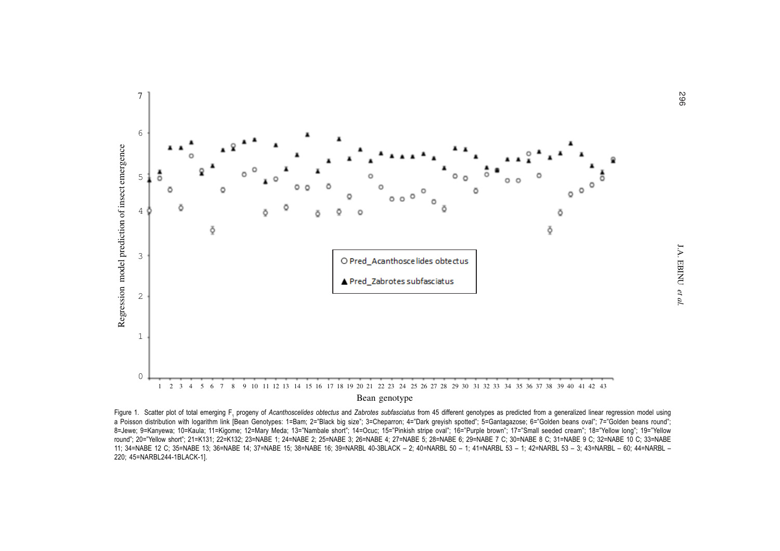

Figure 1. Scatter plot of total emerging F, progeny of Acanthoscelides obtectus and Zabrotes subfasciatus from 45 different genotypes as predicted from a generalized linear regression model using a Poisson distribution with logarithm link [Bean Genotypes: 1=Bam; 2="Black big size"; 3=Cheparron; 4="Dark greyish spotted"; 5=Gantagazose; 6="Golden beans oval"; 7="Golden beans round"; 8=Jewe; 9=Kanyewa; 10=Kaula; 11=Kigome; 12=Mary Meda; 13="Nambale short"; 14=Ocuc; 15="Pinkish stripe oval"; 16="Purple brown"; 17="Small seeded cream"; 18="Yellow long"; 19="Yellow round"; 20="Yellow short"; 21=K131; 22=K132; 23=NABE 1; 24=NABE 2; 25=NABE 3; 26=NABE 4; 27=NABE 5; 28=NABE 6; 29=NABE 7 C; 30=NABE 8 C; 31=NABE 9 C; 32=NABE 10 C; 33=NABE 11; 34=NABE 12 C; 35=NABE 13; 36=NABE 14; 37=NABE 15; 38=NABE 16; 39=NARBL 40-3BLACK – 2; 40=NARBL 50 – 1; 41=NARBL 53 – 1; 42=NARBL 53 – 3; 43=NARBL – 60; 44=NARBL –220; 45=NARBL244-1BLACK-1].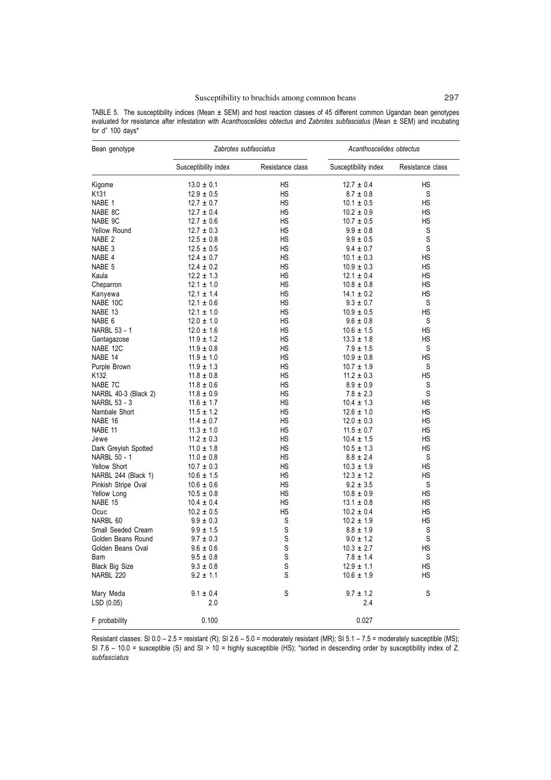|                  | TABLE 5. The susceptibility indices (Mean $\pm$ SEM) and host reaction classes of 45 different common Ugandan bean genotypes       |  |  |  |  |  |  |  |
|------------------|------------------------------------------------------------------------------------------------------------------------------------|--|--|--|--|--|--|--|
|                  | evaluated for resistance after infestation with Acanthoscelides obtectus and Zabrotes subfasciatus (Mean $\pm$ SEM) and incubating |  |  |  |  |  |  |  |
| for d" 100 days* |                                                                                                                                    |  |  |  |  |  |  |  |

| Bean genotype         |                                  | Zabrotes subfasciatus | Acanthoscelides obtectus         |                  |  |
|-----------------------|----------------------------------|-----------------------|----------------------------------|------------------|--|
|                       | Susceptibility index             | Resistance class      | Susceptibility index             | Resistance class |  |
| Kigome                | $13.0 \pm 0.1$                   | HS                    | $12.7 \pm 0.4$                   | HS               |  |
| K131                  | $12.9 \pm 0.5$                   | HS                    | $8.7 \pm 0.8$                    | S                |  |
| NABE 1                | $12.7 \pm 0.7$                   | НS                    | $10.1 \pm 0.5$                   | HS               |  |
| NABE 8C               | $12.7 \pm 0.4$                   | <b>HS</b>             | $10.2 \pm 0.9$                   | <b>HS</b>        |  |
| NABE 9C               | $12.7 \pm 0.6$                   | HS                    | $10.7 \pm 0.5$                   | HS               |  |
| Yellow Round          | $12.7 \pm 0.3$                   | <b>HS</b>             | $9.9 \pm 0.8$                    | S                |  |
| NABE 2                | $12.5 \pm 0.8$                   | HS                    | $9.9 \pm 0.5$                    | $\mathbb S$      |  |
| NABE 3                | $12.5 \pm 0.5$                   | HS                    | $9.4 \pm 0.7$                    | S                |  |
| NABE 4                | $12.4 \pm 0.7$                   | <b>HS</b>             | $10.1 \pm 0.3$                   | <b>HS</b>        |  |
| NABE 5                | $12.4 \pm 0.2$                   | <b>HS</b>             | $10.9 \pm 0.3$                   | <b>HS</b>        |  |
| Kaula                 | $12.2 \pm 1.3$                   | <b>HS</b>             | $12.1 \pm 0.4$                   | <b>HS</b>        |  |
| Cheparron             | $12.1 \pm 1.0$                   | <b>HS</b>             | $10.8 \pm 0.8$                   | <b>HS</b>        |  |
| Kanyewa               | $12.1 \pm 1.4$                   | <b>HS</b>             | $14.1 \pm 0.2$                   | <b>HS</b>        |  |
| NABE 10C              | $12.1 \pm 0.6$                   | <b>HS</b>             | $9.3 \pm 0.7$                    | S                |  |
| NABE 13               | $12.1 \pm 1.0$                   | HS                    | $10.9\,\pm\,0.5$                 | HS               |  |
| NABE 6                | $12.0 \pm 1.0$                   | HS                    | $9.6 \pm 0.8$                    | S                |  |
| NARBL 53 - 1          | $12.0 \pm 1.6$                   | <b>HS</b>             | $10.6 \pm 1.5$                   | HS               |  |
| Gantagazose           | $11.9 \pm 1.2$                   | HS                    | $13.3 \pm 1.8$                   | HS               |  |
| NABE 12C              | $11.9 \pm 0.8$                   | HS                    | $7.9 \pm 1.5$                    | S                |  |
| NABE 14               | $11.9 \pm 1.0$                   | <b>HS</b>             | $10.9 \pm 0.8$                   | <b>HS</b>        |  |
| Purple Brown          | $11.9 \pm 1.3$                   | <b>HS</b>             | $10.7 \pm 1.9$                   | S                |  |
| K132                  | $11.8 \pm 0.8$                   | <b>HS</b>             | $11.2 \pm 0.3$                   | <b>HS</b>        |  |
| NABE 7C               | $11.8 \pm 0.6$                   | HS                    | $8.9 \pm 0.9$                    | S                |  |
| NARBL 40-3 (Black 2)  | $11.8 \pm 0.9$                   | <b>HS</b>             | $7.8 \pm 2.3$                    | S                |  |
| NARBL 53 - 3          | $11.6 \pm 1.7$                   | <b>HS</b>             | $10.4 \pm 1.3$                   | HS               |  |
| Nambale Short         | $11.5 \pm 1.2$                   | HS                    | $12.6 \pm 1.0$                   | HS               |  |
| NABE 16               |                                  | HS                    |                                  | <b>HS</b>        |  |
| NABE 11               | $11.4 \pm 0.7$<br>$11.3 \pm 1.0$ | HS                    | $12.0 \pm 0.3$                   | <b>HS</b>        |  |
|                       | $11.2 \pm 0.3$                   | <b>HS</b>             | $11.5 \pm 0.7$                   | HS               |  |
| Jewe                  |                                  | <b>HS</b>             | $10.4 \pm 1.5$<br>$10.5 \pm 1.3$ | <b>HS</b>        |  |
| Dark Greyish Spotted  | $11.0 \pm 1.8$                   | <b>HS</b>             |                                  |                  |  |
| <b>NARBL 50 - 1</b>   | $11.0 \pm 0.8$                   |                       | $8.8 \pm 2.4$                    | S                |  |
| Yellow Short          | $10.7 \pm 0.3$                   | HS                    | $10.3 \pm 1.9$                   | HS               |  |
| NARBL 244 (Black 1)   | $10.6 \pm 1.5$                   | HS<br><b>HS</b>       | $12.3 \pm 1.2$                   | <b>HS</b>        |  |
| Pinkish Stripe Oval   | $10.6 \pm 0.6$                   |                       | $9.2 \pm 3.5$                    | S                |  |
| Yellow Long           | $10.5 \pm 0.8$                   | HS<br><b>HS</b>       | $10.8 \pm 0.9$                   | HS               |  |
| NABE 15               | $10.4 \pm 0.4$                   |                       | $13.1 \pm 0.8$                   | <b>HS</b>        |  |
| Ocuc                  | $10.2 \pm 0.5$                   | HS                    | $10.2 \pm 0.4$                   | HS               |  |
| NARBL 60              | $9.9 \pm 0.3$                    | S                     | $10.2 \pm 1.9$                   | <b>HS</b>        |  |
| Small Seeded Cream    | $9.9 \pm 1.5$                    | S                     | $8.8 \pm 1.9$                    | $\mathbb S$      |  |
| Golden Beans Round    | $9.7 \pm 0.3$                    | S                     | $9.0 \pm 1.2$                    | S                |  |
| Golden Beans Oval     | $9.6 \pm 0.6$                    | S                     | $10.3 \pm 2.7$                   | HS               |  |
| Bam                   | $9.5\,\pm\,0.8$                  | S                     | $7.8 \pm 1.4$                    | S                |  |
| <b>Black Big Size</b> | $9.3 \pm 0.8$                    | S                     | $12.9 \pm 1.1$                   | HS               |  |
| NARBL 220             | $9.2 \pm 1.1$                    | S                     | $10.6 \pm 1.9$                   | HS               |  |
| Mary Meda             | $9.1 \pm 0.4$                    | S                     | $9.7 \pm 1.2$                    | S                |  |
| LSD(0.05)             | 2.0                              |                       | 2.4                              |                  |  |
| F probability         | 0.100                            |                       | 0.027                            |                  |  |

Resistant classes: SI 0.0 – 2.5 = resistant (R); SI 2.6 – 5.0 = moderately resistant (MR); SI 5.1 – 7.5 = moderately susceptible (MS); SI 7.6 – 10.0 = susceptible (S) and SI > 10 = highly susceptible (HS); \*sorted in descending order by susceptibility index of *Z. subfasciatus*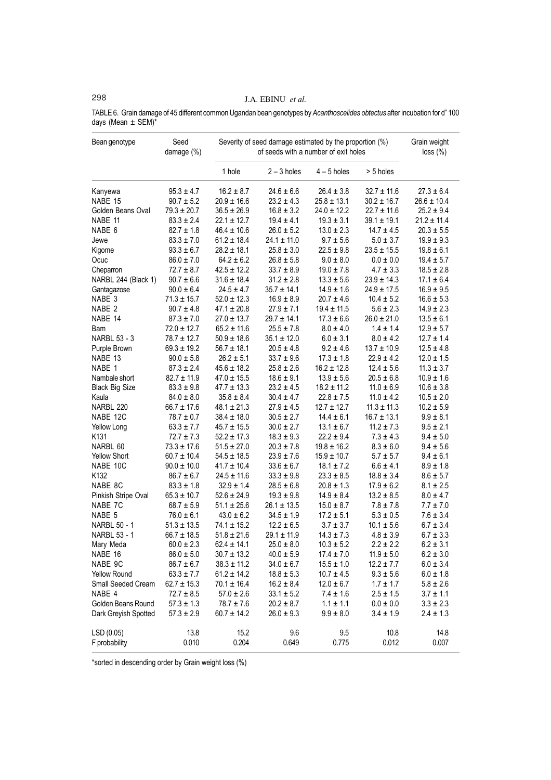# 298 J.A. EBINU *et al.*

TABLE 6. Grain damage of 45 different common Ugandan bean genotypes by *Acanthoscelides obtectus* after incubation for d" 100 days (Mean ± SEM)\*

| Bean genotype         | Seed<br>damage (%) | Severity of seed damage estimated by the proportion (%) | Grain weight<br>loss (%) |                 |                 |                 |
|-----------------------|--------------------|---------------------------------------------------------|--------------------------|-----------------|-----------------|-----------------|
|                       |                    | 1 hole                                                  | $2 - 3$ holes            | $4 - 5$ holes   | > 5 holes       |                 |
| Kanyewa               | $95.3 \pm 4.7$     | $16.2 \pm 8.7$                                          | $24.6 \pm 6.6$           | $26.4 \pm 3.8$  | $32.7 \pm 11.6$ | $27.3 \pm 6.4$  |
| NABE 15               | $90.7 \pm 5.2$     | $20.9 \pm 16.6$                                         | $23.2 \pm 4.3$           | $25.8 \pm 13.1$ | $30.2 \pm 16.7$ | $26.6 \pm 10.4$ |
| Golden Beans Oval     | $79.3 \pm 20.7$    | $36.5 \pm 26.9$                                         | $16.8 \pm 3.2$           | $24.0 \pm 12.2$ | $22.7 \pm 11.6$ | $25.2 \pm 9.4$  |
| NABE 11               | $83.3 \pm 2.4$     | $22.1 \pm 12.7$                                         | $19.4 \pm 4.1$           | $19.3 \pm 3.1$  | $39.1 \pm 19.1$ | $21.2 \pm 11.4$ |
| NABE 6                | $82.7 \pm 1.8$     | $46.4 \pm 10.6$                                         | $26.0 \pm 5.2$           | $13.0 \pm 2.3$  | $14.7 \pm 4.5$  | $20.3 \pm 5.5$  |
| Jewe                  | $83.3 \pm 7.0$     | $61.2 \pm 18.4$                                         | $24.1 \pm 11.0$          | $9.7 \pm 5.6$   | $5.0\pm3.7$     | $19.9 \pm 9.3$  |
| Kigome                | $93.3 \pm 6.7$     | $28.2 \pm 18.1$                                         | $25.8 \pm 3.0$           | $22.5\pm9.8$    | $23.5 \pm 15.5$ | $19.8 \pm 6.1$  |
| Ocuc                  | $86.0 \pm 7.0$     | $64.2 \pm 6.2$                                          | $26.8 \pm 5.8$           | $9.0 \pm 8.0$   | $0.0 \pm 0.0$   | $19.4 \pm 5.7$  |
| Cheparron             | $72.7 \pm 8.7$     | $42.5 \pm 12.2$                                         | $33.7 \pm 8.9$           | $19.0 \pm 7.8$  | $4.7 \pm 3.3$   | $18.5 \pm 2.8$  |
| NARBL 244 (Black 1)   | $90.7 \pm 6.6$     | $31.6 \pm 18.4$                                         | $31.2 \pm 2.8$           | $13.3 \pm 5.6$  | $23.9 \pm 14.3$ | $17.1 \pm 6.4$  |
| Gantagazose           | $90.0 \pm 6.4$     | $24.5 \pm 4.7$                                          | $35.7 \pm 14.1$          | $14.9 \pm 1.6$  | $24.9 \pm 17.5$ | $16.9 \pm 9.5$  |
| NABE 3                | $71.3 \pm 15.7$    | $52.0 \pm 12.3$                                         | $16.9 \pm 8.9$           | $20.7 \pm 4.6$  | $10.4 \pm 5.2$  | $16.6 \pm 5.3$  |
| NABE 2                | $90.7 \pm 4.8$     | $47.1 \pm 20.8$                                         | $27.9 \pm 7.1$           | $19.4 \pm 11.5$ | $5.6 \pm 2.3$   | $14.9 \pm 2.3$  |
| NABE 14               | $87.3 \pm 7.0$     | $27.0 \pm 13.7$                                         | $29.7 \pm 14.1$          | $17.3 \pm 6.6$  | $26.0 \pm 21.0$ | $13.5 \pm 6.1$  |
| Bam                   | $72.0 \pm 12.7$    | $65.2 \pm 11.6$                                         | $25.5 \pm 7.8$           | $8.0 \pm 4.0$   | $1.4 \pm 1.4$   | $12.9 \pm 5.7$  |
| NARBL 53 - 3          | $78.7 \pm 12.7$    | $50.9 \pm 18.6$                                         | $35.1 \pm 12.0$          | $6.0 \pm 3.1$   | $8.0 \pm 4.2$   | $12.7 \pm 1.4$  |
| Purple Brown          | $69.3 \pm 19.2$    | $56.7 \pm 18.1$                                         | $20.5 \pm 4.8$           | $9.2 \pm 4.6$   | $13.7 \pm 10.9$ | $12.5 \pm 4.8$  |
| NABE 13               | $90.0 \pm 5.8$     | $26.2 \pm 5.1$                                          | $33.7 \pm 9.6$           | $17.3 \pm 1.8$  | $22.9 \pm 4.2$  | $12.0 \pm 1.5$  |
| NABE 1                | $87.3 \pm 2.4$     | $45.6 \pm 18.2$                                         | $25.8 \pm 2.6$           | $16.2 \pm 12.8$ | $12.4 \pm 5.6$  | $11.3 \pm 3.7$  |
| Nambale short         | $82.7 \pm 11.9$    | $47.0 \pm 15.5$                                         | $18.6 \pm 9.1$           | $13.9 \pm 5.6$  | $20.5 \pm 6.8$  | $10.9 \pm 1.6$  |
| <b>Black Big Size</b> | $83.3 \pm 9.8$     | $47.7 \pm 13.3$                                         | $23.2 \pm 4.5$           | $18.2 \pm 11.2$ | $11.0 \pm 6.9$  | $10.6 \pm 3.8$  |
| Kaula                 | $84.0 \pm 8.0$     | $35.8 \pm 8.4$                                          | $30.4 \pm 4.7$           | $22.8 \pm 7.5$  | $11.0 \pm 4.2$  | $10.5 \pm 2.0$  |
| NARBL 220             | $66.7 \pm 17.6$    | $48.1 \pm 21.3$                                         | $27.9 \pm 4.5$           | $12.7 \pm 12.7$ | $11.3 \pm 11.3$ | $10.2 \pm 5.9$  |
| NABE 12C              | $78.7 \pm 0.7$     | $38.4 \pm 18.0$                                         | $30.5 \pm 2.7$           | $14.4 \pm 6.1$  | $16.7 \pm 13.1$ | $9.9 \pm 8.1$   |
| Yellow Long           | $63.3 \pm 7.7$     | $45.7 \pm 15.5$                                         | $30.0 \pm 2.7$           | $13.1 \pm 6.7$  | $11.2 \pm 7.3$  | $9.5 \pm 2.1$   |
| K <sub>131</sub>      | $72.7 \pm 7.3$     | $52.2 \pm 17.3$                                         | $18.3 \pm 9.3$           | $22.2 \pm 9.4$  | $7.3 \pm 4.3$   | $9.4 \pm 5.0$   |
| NARBL 60              | $73.3 \pm 17.6$    | $51.5 \pm 27.0$                                         | $20.3 \pm 7.8$           | $19.8 \pm 16.2$ | $8.3 \pm 6.0$   | $9.4 \pm 5.6$   |
| Yellow Short          | $60.7 \pm 10.4$    | $54.5 \pm 18.5$                                         | $23.9 \pm 7.6$           | $15.9 \pm 10.7$ | $5.7 \pm 5.7$   | $9.4 \pm 6.1$   |
| NABE 10C              | $90.0 \pm 10.0$    | $41.7 \pm 10.4$                                         | $33.6 \pm 6.7$           | $18.1 \pm 7.2$  | $6.6 \pm 4.1$   | $8.9 \pm 1.8$   |
| K132                  | $86.7 \pm 6.7$     | $24.5 \pm 11.6$                                         | $33.3 \pm 9.8$           | $23.3 \pm 8.5$  | $18.8 \pm 3.4$  | $8.6 \pm 5.7$   |
| NABE 8C               | $83.3 \pm 1.8$     | $32.9 \pm 1.4$                                          | $28.5 \pm 6.8$           | $20.8 \pm 1.3$  | $17.9 \pm 6.2$  | $8.1 \pm 2.5$   |
| Pinkish Stripe Oval   | $65.3 \pm 10.7$    | $52.6 \pm 24.9$                                         | $19.3 \pm 9.8$           | $14.9 \pm 8.4$  | $13.2 \pm 8.5$  | $8.0 \pm 4.7$   |
| NABE 7C               | $68.7 \pm 5.9$     | $51.1 \pm 25.6$                                         | $26.1 \pm 13.5$          | $15.0 \pm 8.7$  | $7.8 \pm 7.8$   | $7.7 \pm 7.0$   |
| NABE 5                | $76.0 \pm 6.1$     | $43.0 \pm 6.2$                                          | $34.5 \pm 1.9$           | $17.2 \pm 5.1$  | $5.3 \pm 0.5$   | $7.6 \pm 3.4$   |
| NARBL 50 - 1          | $51.3 \pm 13.5$    | $74.1 \pm 15.2$                                         | $12.2 \pm 6.5$           | $3.7 \pm 3.7$   | $10.1 \pm 5.6$  | $6.7 \pm 3.4$   |
| NARBL 53 - 1          | $66.7 \pm 18.5$    | $51.8 \pm 21.6$                                         | $29.1 \pm 11.9$          | $14.3 \pm 7.3$  | $4.8 \pm 3.9$   | $6.7 \pm 3.3$   |
| Mary Meda             | $60.0 \pm 2.3$     | $62.4 \pm 14.1$                                         | $25.0 \pm 8.0$           | $10.3 \pm 5.2$  | $2.2 \pm 2.2$   | $6.2 \pm 3.1$   |
| NABE 16               | $86.0 \pm 5.0$     | $30.7 \pm 13.2$                                         | $40.0 \pm 5.9$           | $17.4 \pm 7.0$  | $11.9 \pm 5.0$  | $6.2 \pm 3.0$   |
| NABE 9C               | $86.7 \pm 6.7$     | $38.3 \pm 11.2$                                         | $34.0 \pm 6.7$           | $15.5 \pm 1.0$  | $12.2 \pm 7.7$  | $6.0 \pm 3.4$   |
| Yellow Round          | $63.3 \pm 7.7$     | $61.2 \pm 14.2$                                         | $18.8 \pm 5.3$           | $10.7 \pm 4.5$  | $9.3 \pm 5.6$   | $6.0 \pm 1.8$   |
| Small Seeded Cream    | $62.7 \pm 15.3$    | $70.1 \pm 16.4$                                         | $16.2 \pm 8.4$           | $12.0 \pm 6.7$  | $1.7 \pm 1.7$   | $5.8 \pm 2.6$   |
| NABE 4                | $72.7 \pm 8.5$     | $57.0 \pm 2.6$                                          | $33.1 \pm 5.2$           | $7.4 \pm 1.6$   | $2.5 \pm 1.5$   | $3.7 \pm 1.1$   |
| Golden Beans Round    | $57.3 \pm 1.3$     | $78.7 \pm 7.6$                                          | $20.2 \pm 8.7$           | $1.1 \pm 1.1$   | $0.0 \pm 0.0$   | $3.3 \pm 2.3$   |
| Dark Greyish Spotted  | $57.3 \pm 2.9$     | $60.7 \pm 14.2$                                         | $26.0 \pm 9.3$           | $9.9 \pm 8.0$   | $3.4 \pm 1.9$   | $2.4 \pm 1.3$   |
| LSD (0.05)            | 13.8               | 15.2                                                    | 9.6                      | 9.5             | 10.8            | 14.8            |
| F probability         | 0.010              | 0.204                                                   | 0.649                    | 0.775           | 0.012           | 0.007           |

\*sorted in descending order by Grain weight loss (%)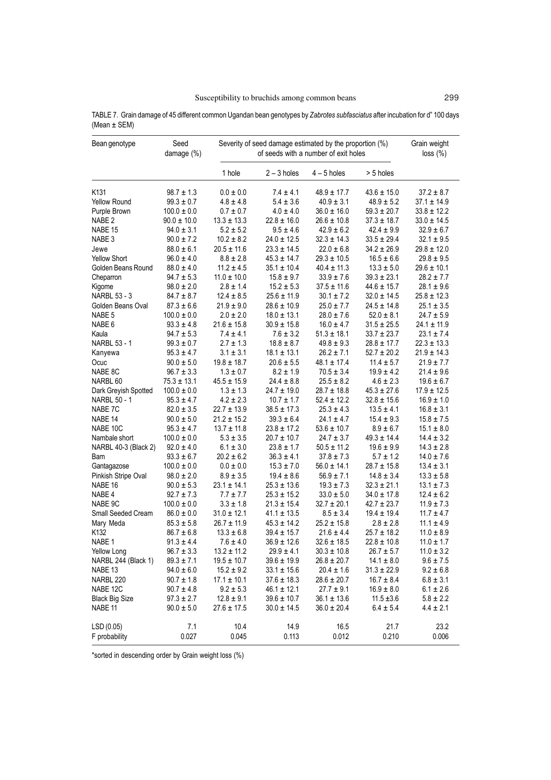| Bean genotype         | Seed<br>damage (%) | Severity of seed damage estimated by the proportion (%) | Grain weight<br>loss (%) |                 |                 |                 |
|-----------------------|--------------------|---------------------------------------------------------|--------------------------|-----------------|-----------------|-----------------|
|                       |                    | 1 hole                                                  | $2 - 3$ holes            | $4 - 5$ holes   | > 5 holes       |                 |
| K <sub>131</sub>      | $98.7 \pm 1.3$     | $0.0 \pm 0.0$                                           | $7.4 \pm 4.1$            | $48.9 \pm 17.7$ | $43.6 \pm 15.0$ | $37.2 \pm 8.7$  |
| <b>Yellow Round</b>   | $99.3 \pm 0.7$     | $4.8 \pm 4.8$                                           | $5.4 \pm 3.6$            | $40.9 \pm 3.1$  | $48.9 \pm 5.2$  | $37.1 \pm 14.9$ |
| Purple Brown          | $100.0 \pm 0.0$    | $0.7 \pm 0.7$                                           | $4.0 \pm 4.0$            | $36.0 \pm 16.0$ | $59.3 \pm 20.7$ | $33.8 \pm 12.2$ |
| NABE <sub>2</sub>     | $90.0 \pm 10.0$    | $13.3 \pm 13.3$                                         | $22.8 \pm 16.0$          | $26.6 \pm 10.8$ | $37.3 \pm 18.7$ | $33.0 \pm 14.5$ |
| NABE 15               | $94.0 \pm 3.1$     | $5.2 \pm 5.2$                                           | $9.5 \pm 4.6$            | $42.9 \pm 6.2$  | $42.4 \pm 9.9$  | $32.9 \pm 6.7$  |
| NABE <sub>3</sub>     | $90.0 \pm 7.2$     | $10.2 \pm 8.2$                                          | $24.0 \pm 12.5$          | $32.3 \pm 14.3$ | $33.5 \pm 29.4$ | $32.1 \pm 9.5$  |
| Jewe                  | $88.0 \pm 6.1$     | $20.5 \pm 11.6$                                         | $23.3 \pm 14.5$          | $22.0 \pm 6.8$  | $34.2 \pm 26.9$ | $29.8 \pm 12.0$ |
| <b>Yellow Short</b>   | $96.0 \pm 4.0$     | $8.8 \pm 2.8$                                           | $45.3 \pm 14.7$          | $29.3 \pm 10.5$ | $16.5 \pm 6.6$  | $29.8 \pm 9.5$  |
| Golden Beans Round    | $88.0 \pm 4.0$     | $11.2 \pm 4.5$                                          | $35.1 \pm 10.4$          | $40.4 \pm 11.3$ | $13.3 \pm 5.0$  | $29.6 \pm 10.1$ |
| Cheparron             | $94.7 \pm 5.3$     | $11.0 \pm 10.0$                                         | $15.8 \pm 9.7$           | $33.9\pm7.6$    | $39.3 \pm 23.1$ | $28.2 \pm 7.7$  |
| Kigome                | $98.0 \pm 2.0$     | $2.8 \pm 1.4$                                           | $15.2 \pm 5.3$           | $37.5 \pm 11.6$ | $44.6 \pm 15.7$ | $28.1 \pm 9.6$  |
| <b>NARBL 53 - 3</b>   | $84.7 \pm 8.7$     | $12.4 \pm 8.5$                                          | $25.6 \pm 11.9$          | $30.1 \pm 7.2$  | $32.0 \pm 14.5$ | $25.8 \pm 12.3$ |
| Golden Beans Oval     | $87.3 \pm 6.6$     | $21.9 \pm 9.0$                                          | $28.6 \pm 10.9$          | $25.0 \pm 7.7$  | $24.5 \pm 14.8$ | $25.1 \pm 3.5$  |
| NABE 5                | $100.0\pm0.0$      | $2.0 \pm 2.0$                                           | $18.0 \pm 13.1$          | $28.0\pm7.6$    | $52.0 \pm 8.1$  | $24.7 \pm 5.9$  |
| NABE 6                | $93.3 \pm 4.8$     | $21.6 \pm 15.8$                                         | $30.9 \pm 15.8$          | $16.0 \pm 4.7$  | $31.5 \pm 25.5$ | $24.1 \pm 11.9$ |
| Kaula                 | $94.7 \pm 5.3$     | $7.4 \pm 4.1$                                           | $7.6 \pm 3.2$            | $51.3 \pm 18.1$ | $33.7 \pm 23.7$ | $23.1 \pm 7.4$  |
| NARBL 53 - 1          | $99.3 \pm 0.7$     | $2.7 \pm 1.3$                                           | $18.8 \pm 8.7$           | $49.8 \pm 9.3$  | $28.8 \pm 17.7$ | $22.3 \pm 13.3$ |
| Kanyewa               | $95.3 \pm 4.7$     | $3.1 \pm 3.1$                                           | $18.1 \pm 13.1$          | $26.2 \pm 7.1$  | $52.7 \pm 20.2$ | $21.9 \pm 14.3$ |
| Ocuc                  | $90.0 \pm 5.0$     | $19.8 \pm 18.7$                                         | $20.6 \pm 5.5$           | $48.1 \pm 17.4$ | $11.4 \pm 5.7$  | $21.9 \pm 7.7$  |
| NABE 8C               | $96.7 \pm 3.3$     | $1.3 \pm 0.7$                                           | $8.2 \pm 1.9$            | $70.5 \pm 3.4$  | $19.9 \pm 4.2$  | $21.4 \pm 9.6$  |
| NARBL <sub>60</sub>   | $75.3 \pm 13.1$    | $45.5 \pm 15.9$                                         | $24.4 \pm 8.8$           | $25.5 \pm 8.2$  | $4.6 \pm 2.3$   | $19.6 \pm 6.7$  |
| Dark Greyish Spotted  | $100.0 \pm 0.0$    | $1.3 \pm 1.3$                                           | $24.7 \pm 19.0$          | $28.7 \pm 18.8$ | $45.3 \pm 27.6$ | $17.9 \pm 12.5$ |
| NARBL 50 - 1          | $95.3 \pm 4.7$     | $4.2 \pm 2.3$                                           | $10.7 \pm 1.7$           | $52.4 \pm 12.2$ | $32.8 \pm 15.6$ | $16.9 \pm 1.0$  |
| NABE 7C               | $82.0 \pm 3.5$     | $22.7 \pm 13.9$                                         | $38.5 \pm 17.3$          | $25.3 \pm 4.3$  | $13.5 \pm 4.1$  | $16.8 \pm 3.1$  |
| NABE 14               | $90.0 \pm 5.0$     | $21.2 \pm 15.2$                                         | $39.3 \pm 6.4$           | $24.1 \pm 4.7$  | $15.4 \pm 9.3$  | $15.8 \pm 7.5$  |
| NABE 10C              | $95.3 \pm 4.7$     | $13.7 \pm 11.8$                                         | $23.8 \pm 17.2$          | $53.6 \pm 10.7$ | $8.9\pm6.7$     | $15.1 \pm 8.0$  |
| Nambale short         | $100.0 \pm 0.0$    | $5.3 \pm 3.5$                                           | $20.7 \pm 10.7$          | $24.7 \pm 3.7$  | $49.3 \pm 14.4$ | $14.4 \pm 3.2$  |
| NARBL 40-3 (Black 2)  | $92.0 \pm 4.0$     | $6.1 \pm 3.0$                                           | $23.8 \pm 1.7$           | $50.5 \pm 11.2$ | $19.6 \pm 9.9$  | $14.3 \pm 2.8$  |
| Bam                   | $93.3 \pm 6.7$     | $20.2 \pm 6.2$                                          | $36.3 \pm 4.1$           | $37.8 \pm 7.3$  | $5.7 \pm 1.2$   | $14.0 \pm 7.6$  |
| Gantagazose           | $100.0 \pm 0.0$    | $0.0 \pm 0.0$                                           | $15.3\pm7.0$             | $56.0 \pm 14.1$ | $28.7 \pm 15.8$ | $13.4 \pm 3.1$  |
| Pinkish Stripe Oval   | $98.0 \pm 2.0$     | $8.9 \pm 3.5$                                           | $19.4 \pm 8.6$           | $56.9 \pm 7.1$  | $14.8 \pm 3.4$  | $13.3 \pm 5.8$  |
| NABE 16               | $90.0 \pm 5.3$     | $23.1 \pm 14.1$                                         | $25.3 \pm 13.6$          | $19.3 \pm 7.3$  | $32.3 \pm 21.1$ | $13.1 \pm 7.3$  |
| NABE 4                | $92.7 \pm 7.3$     | $7.7 \pm 7.7$                                           | $25.3 \pm 15.2$          | $33.0 \pm 5.0$  | $34.0 \pm 17.8$ | $12.4 \pm 6.2$  |
| NABE 9C               | $100.0\pm0.0$      | $3.3 \pm 1.8$                                           | $21.3 \pm 15.4$          | $32.7 \pm 20.1$ | $42.7 \pm 23.7$ | $11.9 \pm 7.3$  |
| Small Seeded Cream    | $86.0 \pm 0.0$     | $31.0 \pm 12.1$                                         | $41.1 \pm 13.5$          | $8.5 \pm 3.4$   | $19.4 \pm 19.4$ | $11.7 \pm 4.7$  |
| Mary Meda             | $85.3 \pm 5.8$     | $26.7 \pm 11.9$                                         | $45.3 \pm 14.2$          | $25.2 \pm 15.8$ | $2.8 \pm 2.8$   | $11.1 \pm 4.9$  |
| K <sub>132</sub>      | $86.7 \pm 6.8$     | $13.3 \pm 6.8$                                          | $39.4 \pm 15.7$          | $21.6 \pm 4.4$  | $25.7 \pm 18.2$ | $11.0 \pm 8.9$  |
| NABE <sub>1</sub>     | $91.3 \pm 4.4$     | $7.6 \pm 4.0$                                           | $36.9 \pm 12.6$          | $32.6 \pm 18.5$ | $22.8 \pm 10.8$ | $11.0 \pm 1.7$  |
| Yellow Long           | $96.7 \pm 3.3$     | $13.2 \pm 11.2$                                         | $29.9 \pm 4.1$           | $30.3 \pm 10.8$ | $26.7 \pm 5.7$  | $11.0 \pm 3.2$  |
| NARBL 244 (Black 1)   | $89.3 \pm 7.1$     | $19.5 \pm 10.7$                                         | $39.6 \pm 19.9$          | $26.8 \pm 20.7$ | $14.1 \pm 8.0$  | $9.6 \pm 7.5$   |
| NABE <sub>13</sub>    | $94.0 \pm 6.0$     | $15.2 \pm 9.2$                                          | $33.1 \pm 15.6$          | $20.4 \pm 1.6$  | $31.3 \pm 22.9$ | $9.2\pm6.8$     |
| NARBL <sub>220</sub>  | $90.7 \pm 1.8$     | $17.1 \pm 10.1$                                         | $37.6 \pm 18.3$          | $28.6 \pm 20.7$ | $16.7 \pm 8.4$  | $6.8 \pm 3.1$   |
| NABE 12C              | $90.7 \pm 4.8$     | $9.2 \pm 5.3$                                           | $46.1 \pm 12.1$          | $27.7 \pm 9.1$  | $16.9 \pm 8.0$  | $6.1 \pm 2.6$   |
| <b>Black Big Size</b> | $97.3 \pm 2.7$     | $12.8 \pm 9.1$                                          | $39.6 \pm 10.7$          | $36.1 \pm 13.6$ | $11.5 \pm 3.6$  | $5.8 \pm 2.2$   |
| NABE <sub>11</sub>    | $90.0 \pm 5.0$     | $27.6 \pm 17.5$                                         | $30.0 \pm 14.5$          | $36.0 \pm 20.4$ | $6.4 \pm 5.4$   | $4.4 \pm 2.1$   |
|                       |                    |                                                         |                          |                 |                 |                 |
| LSD (0.05)            | 7.1                | 10.4                                                    | 14.9                     | 16.5            | 21.7            | 23.2            |

F probability 0.027 0.045 0.113 0.012 0.210 0.006

TABLE 7. Grain damage of 45 different common Ugandan bean genotypes by *Zabrotes subfasciatus* after incubation for d" 100 days (Mean ± SEM)

\*sorted in descending order by Grain weight loss (%)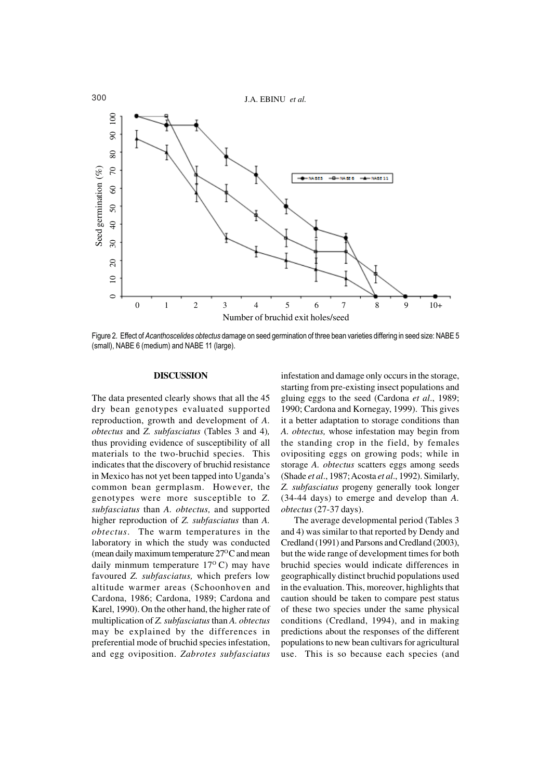

Figure 2. Effect of *Acanthoscelides obtectus* damage on seed germination of three bean varieties differing in seed size: NABE 5 (small), NABE 6 (medium) and NABE 11 (large).

## **DISCUSSION**

The data presented clearly shows that all the 45 dry bean genotypes evaluated supported reproduction, growth and development of *A. obtectus* and *Z. subfasciatus* (Tables 3 and 4)*,* thus providing evidence of susceptibility of all materials to the two-bruchid species. This indicates that the discovery of bruchid resistance in Mexico has not yet been tapped into Uganda's common bean germplasm. However, the genotypes were more susceptible to *Z. subfasciatus* than *A. obtectus,* and supported higher reproduction of *Z. subfasciatus* than *A. obtectus*. The warm temperatures in the laboratory in which the study was conducted (mean daily maximum temperature  $27^{\circ}$ C and mean daily minmum temperature  $17^{\circ}$  C) may have favoured *Z. subfasciatus,* which prefers low altitude warmer areas (Schoonhoven and Cardona, 1986; Cardona, 1989; Cardona and Karel, 1990). On the other hand, the higher rate of multiplication of *Z. subfasciatus* than *A. obtectus* may be explained by the differences in preferential mode of bruchid species infestation, and egg oviposition. *Zabrotes subfasciatus*

infestation and damage only occurs in the storage, starting from pre-existing insect populations and gluing eggs to the seed (Cardona *et al*., 1989; 1990; Cardona and Kornegay, 1999). This gives it a better adaptation to storage conditions than *A. obtectus,* whose infestation may begin from the standing crop in the field, by females ovipositing eggs on growing pods; while in storage *A. obtectus* scatters eggs among seeds (Shade *et al*., 1987; Acosta *et al*., 1992). Similarly, *Z. subfasciatus* progeny generally took longer (34-44 days) to emerge and develop than *A. obtectus* (27-37 days).

The average developmental period (Tables 3 and 4) was similar to that reported by Dendy and Credland (1991) and Parsons and Credland (2003), but the wide range of development times for both bruchid species would indicate differences in geographically distinct bruchid populations used in the evaluation. This, moreover, highlights that caution should be taken to compare pest status of these two species under the same physical conditions (Credland, 1994), and in making predictions about the responses of the different populations to new bean cultivars for agricultural use. This is so because each species (and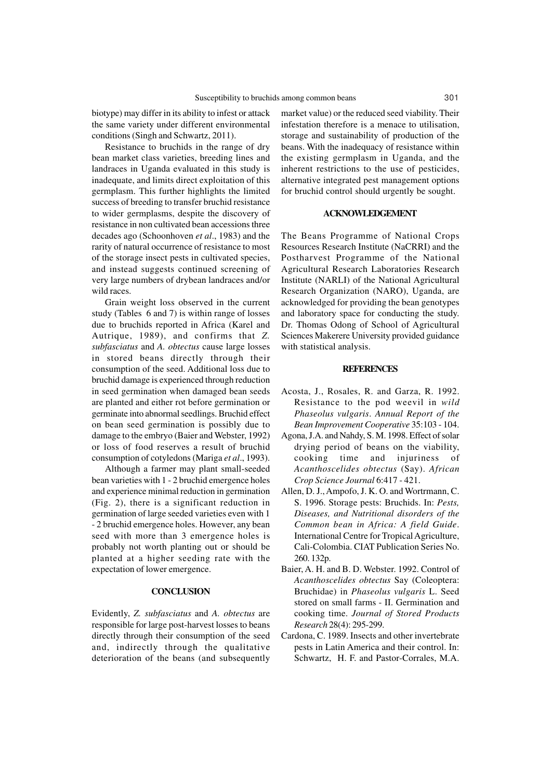biotype) may differ in its ability to infest or attack the same variety under different environmental conditions (Singh and Schwartz, 2011).

Resistance to bruchids in the range of dry bean market class varieties, breeding lines and landraces in Uganda evaluated in this study is inadequate, and limits direct exploitation of this germplasm. This further highlights the limited success of breeding to transfer bruchid resistance to wider germplasms, despite the discovery of resistance in non cultivated bean accessions three decades ago (Schoonhoven *et al*., 1983) and the rarity of natural occurrence of resistance to most of the storage insect pests in cultivated species, and instead suggests continued screening of very large numbers of drybean landraces and/or wild races.

Grain weight loss observed in the current study (Tables 6 and 7) is within range of losses due to bruchids reported in Africa (Karel and Autrique, 1989), and confirms that *Z. subfasciatus* and *A. obtectus* cause large losses in stored beans directly through their consumption of the seed. Additional loss due to bruchid damage is experienced through reduction in seed germination when damaged bean seeds are planted and either rot before germination or germinate into abnormal seedlings. Bruchid effect on bean seed germination is possibly due to damage to the embryo (Baier and Webster, 1992) or loss of food reserves a result of bruchid consumption of cotyledons (Mariga *et al*., 1993).

Although a farmer may plant small-seeded bean varieties with 1 - 2 bruchid emergence holes and experience minimal reduction in germination (Fig. 2), there is a significant reduction in germination of large seeded varieties even with 1 - 2 bruchid emergence holes. However, any bean seed with more than 3 emergence holes is probably not worth planting out or should be planted at a higher seeding rate with the expectation of lower emergence.

## **CONCLUSION**

Evidently, *Z. subfasciatus* and *A. obtectus* are responsible for large post-harvest losses to beans directly through their consumption of the seed and, indirectly through the qualitative deterioration of the beans (and subsequently market value) or the reduced seed viability. Their infestation therefore is a menace to utilisation, storage and sustainability of production of the beans. With the inadequacy of resistance within the existing germplasm in Uganda, and the inherent restrictions to the use of pesticides, alternative integrated pest management options for bruchid control should urgently be sought.

## **ACKNOWLEDGEMENT**

The Beans Programme of National Crops Resources Research Institute (NaCRRI) and the Postharvest Programme of the National Agricultural Research Laboratories Research Institute (NARLI) of the National Agricultural Research Organization (NARO), Uganda, are acknowledged for providing the bean genotypes and laboratory space for conducting the study. Dr. Thomas Odong of School of Agricultural Sciences Makerere University provided guidance with statistical analysis.

## **REFERENCES**

- Acosta, J., Rosales, R. and Garza, R. 1992. Resistance to the pod weevil in *wild Phaseolus vulgaris*. *Annual Report of the Bean Improvement Cooperative* 35:103 - 104.
- Agona, J.A. and Nahdy, S. M. 1998. Effect of solar drying period of beans on the viability, cooking time and injuriness of *Acanthoscelides obtectus* (Say). *African Crop Science Journal* 6:417 - 421.
- Allen, D. J., Ampofo, J. K. O. and Wortrmann, C. S. 1996. Storage pests: Bruchids. In: *Pests, Diseases, and Nutritional disorders of the Common bean in Africa: A field Guide*. International Centre for Tropical Agriculture, Cali-Colombia. CIAT Publication Series No. 260. 132p.
- Baier, A. H. and B. D. Webster. 1992. Control of *Acanthoscelides obtectus* Say (Coleoptera: Bruchidae) in *Phaseolus vulgaris* L. Seed stored on small farms - II. Germination and cooking time. *Journal of Stored Products Research* 28(4): 295-299.
- Cardona, C. 1989. Insects and other invertebrate pests in Latin America and their control. In: Schwartz, H. F. and Pastor-Corrales, M.A.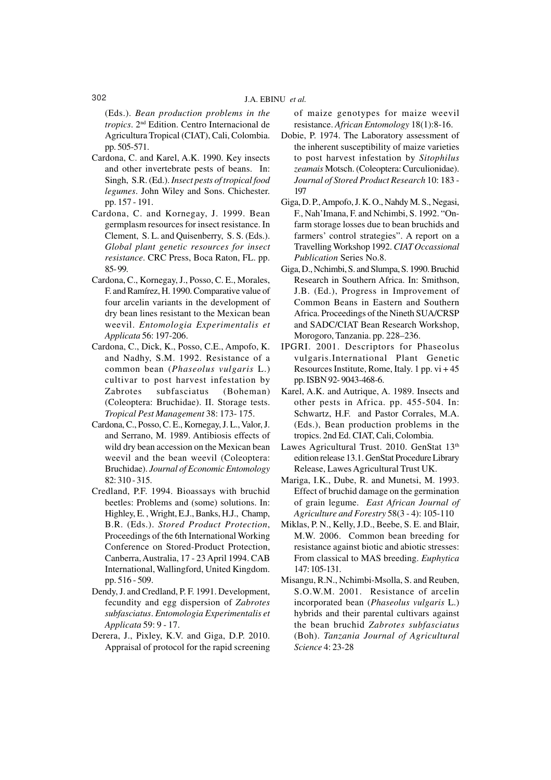(Eds.). *Bean production problems in the tropics*. 2nd Edition. Centro Internacional de Agricultura Tropical (CIAT), Cali, Colombia. pp. 505-571.

- Cardona, C. and Karel, A.K. 1990. Key insects and other invertebrate pests of beans. In: Singh, S.R. (Ed.). *Insect pests of tropical food legumes*. John Wiley and Sons. Chichester. pp. 157 - 191.
- Cardona, C. and Kornegay, J. 1999. Bean germplasm resources for insect resistance. In Clement, S. L. and Quisenberry, S. S. (Eds.). *Global plant genetic resources for insect resistance*. CRC Press, Boca Raton, FL. pp. 85- 99.
- Cardona, C., Kornegay, J., Posso, C. E., Morales, F. and Ramírez, H. 1990. Comparative value of four arcelin variants in the development of dry bean lines resistant to the Mexican bean weevil. *Entomologia Experimentalis et Applicata* 56: 197-206.
- Cardona, C., Dick, K., Posso, C.E., Ampofo, K. and Nadhy, S.M. 1992. Resistance of a common bean (*Phaseolus vulgaris* L.) cultivar to post harvest infestation by Zabrotes subfasciatus (Boheman) (Coleoptera: Bruchidae). II. Storage tests. *Tropical Pest Management* 38: 173- 175.
- Cardona, C., Posso, C. E., Kornegay, J. L., Valor, J. and Serrano, M. 1989. Antibiosis effects of wild dry bean accession on the Mexican bean weevil and the bean weevil (Coleoptera: Bruchidae). *Journal of Economic Entomology* 82: 310 - 315.
- Credland, P.F. 1994. Bioassays with bruchid beetles: Problems and (some) solutions. In: Highley, E. , Wright, E.J., Banks, H.J., Champ, B.R. (Eds.). *Stored Product Protection*, Proceedings of the 6th International Working Conference on Stored-Product Protection, Canberra, Australia, 17 - 23 April 1994. CAB International, Wallingford, United Kingdom. pp. 516 - 509.
- Dendy, J. and Credland, P. F. 1991. Development, fecundity and egg dispersion of *Zabrotes subfasciatus*. *Entomologia Experimentalis et Applicata* 59: 9 - 17.
- Derera, J., Pixley, K.V. and Giga, D.P. 2010. Appraisal of protocol for the rapid screening

of maize genotypes for maize weevil resistance. *African Entomology* 18(1):8-16.

- Dobie, P. 1974. The Laboratory assessment of the inherent susceptibility of maize varieties to post harvest infestation by *Sitophilus zeamais* Motsch. (Coleoptera: Curculionidae). *Journal of Stored Product Research* 10: 183 - 197
- Giga, D. P., Ampofo, J. K. O., Nahdy M. S., Negasi, F., Nah'Imana, F. and Nchimbi, S. 1992. "Onfarm storage losses due to bean bruchids and farmers' control strategies". A report on a Travelling Workshop 1992. *CIAT Occassional Publication* Series No.8.
- Giga, D., Nchimbi, S. and Slumpa, S. 1990. Bruchid Research in Southern Africa. In: Smithson, J.B. (Ed.), Progress in Improvement of Common Beans in Eastern and Southern Africa. Proceedings of the Nineth SUA/CRSP and SADC/CIAT Bean Research Workshop, Morogoro, Tanzania. pp. 228–236.
- IPGRI. 2001. Descriptors for Phaseolus vulgaris.International Plant Genetic Resources Institute, Rome, Italy. 1 pp. vi + 45 pp. ISBN 92- 9043-468-6.
- Karel, A.K. and Autrique, A. 1989. Insects and other pests in Africa. pp. 455-504. In: Schwartz, H.F. and Pastor Corrales, M.A. (Eds.), Bean production problems in the tropics. 2nd Ed. CIAT, Cali, Colombia.
- Lawes Agricultural Trust. 2010. GenStat 13th edition release 13.1. GenStat Procedure Library Release, Lawes Agricultural Trust UK.
- Mariga, I.K., Dube, R. and Munetsi, M. 1993. Effect of bruchid damage on the germination of grain legume. *East African Journal of Agriculture and Forestry* 58(3 - 4): 105-110
- Miklas, P. N., Kelly, J.D., Beebe, S. E. and Blair, M.W. 2006. Common bean breeding for resistance against biotic and abiotic stresses: From classical to MAS breeding. *Euphytica* 147: 105-131.
- Misangu, R.N., Nchimbi-Msolla, S. and Reuben, S.O.W.M. 2001. Resistance of arcelin incorporated bean (*Phaseolus vulgaris* L.) hybrids and their parental cultivars against the bean bruchid *Zabrotes subfasciatus* (Boh). *Tanzania Journal of Agricultural Science* 4: 23-28